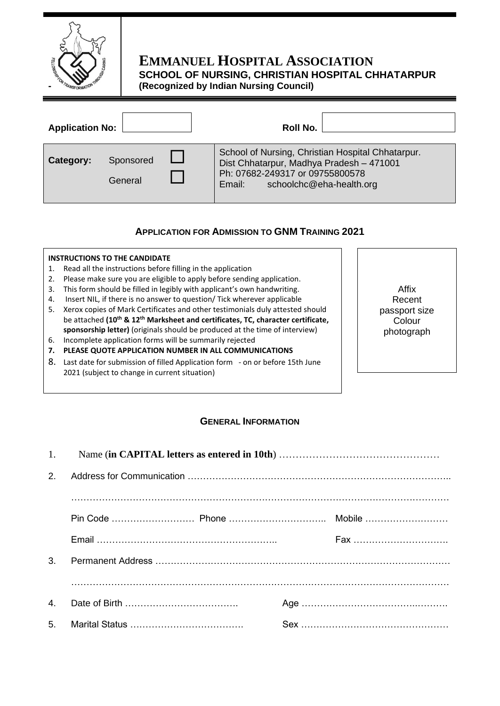

# **EMMANUEL HOSPITAL ASSOCIATION SCHOOL OF NURSING, CHRISTIAN HOSPITAL CHHATARPUR (Recognized by Indian Nursing Council)**

| <b>Application No:</b> |                      | Roll No.                                                                                                                                                               |  |
|------------------------|----------------------|------------------------------------------------------------------------------------------------------------------------------------------------------------------------|--|
| Category:              | Sponsored<br>General | School of Nursing, Christian Hospital Chhatarpur.<br>Dist Chhatarpur, Madhya Pradesh - 471001<br>Ph: 07682-249317 or 09755800578<br>schoolchc@eha-health.org<br>Email: |  |

## **APPLICATION FOR ADMISSION TO GNM TRAINING 2021**

#### **INSTRUCTIONS TO THE CANDIDATE**

- 1. Read all the instructions before filling in the application
- 2. Please make sure you are eligible to apply before sending application.
- 3. This form should be filled in legibly with applicant's own handwriting.
- 4. Insert NIL, if there is no answer to question/ Tick wherever applicable
- 5. Xerox copies of Mark Certificates and other testimonials duly attested should be attached **(10th & 12th Marksheet and certificates, TC, character certificate, sponsorship letter)** (originals should be produced at the time of interview)
- 6. Incomplete application forms will be summarily rejected
- **7. PLEASE QUOTE APPLICATION NUMBER IN ALL COMMUNICATIONS**
- 8. Last date for submission of filled Application form on or before 15th June 2021 (subject to change in current situation)

### Affix Recent passport size Colour photograph

### **GENERAL INFORMATION**

| $\mathcal{P}$ |  |  |     |  |
|---------------|--|--|-----|--|
|               |  |  |     |  |
|               |  |  |     |  |
|               |  |  | Fax |  |
| 3.            |  |  |     |  |
|               |  |  |     |  |
| 4.            |  |  |     |  |
| 5.            |  |  |     |  |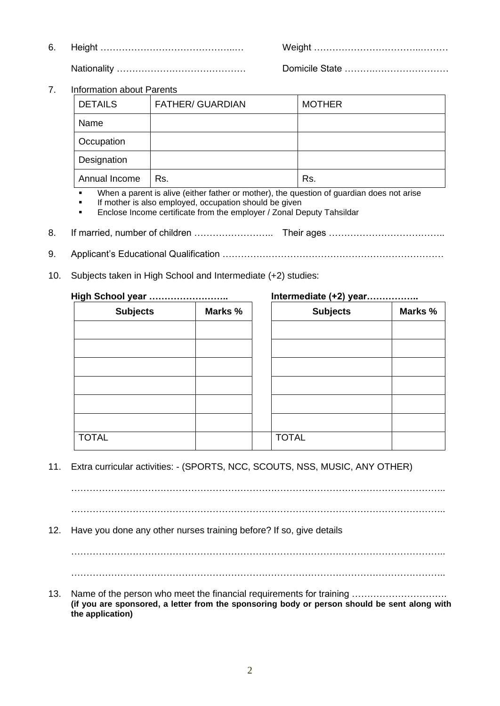6. Height ……………………………………..… Weight ……………………………..………

Nationality …………………………………… Domicile State ……….……………………

7. Information about Parents

| <b>DETAILS</b> | <b>FATHER/ GUARDIAN</b> | <b>MOTHER</b> |
|----------------|-------------------------|---------------|
| Name           |                         |               |
| Occupation     |                         |               |
| Designation    |                         |               |
| Annual Income  | Rs.                     | Rs.           |

When a parent is alive (either father or mother), the question of quardian does not arise

If mother is also employed, occupation should be given

Enclose Income certificate from the employer / Zonal Deputy Tahsildar

- 8. If married, number of children …………………….. Their ages ………………………………..
- 9. Applicant's Educational Qualification ………………………………………………………………
- 10. Subjects taken in High School and Intermediate (+2) studies:

| High School year |  | Intermediate (+2) year |  |  |
|------------------|--|------------------------|--|--|
|                  |  |                        |  |  |

| <b>Subjects</b> | Marks % |              |
|-----------------|---------|--------------|
|                 |         |              |
|                 |         |              |
|                 |         |              |
|                 |         |              |
|                 |         |              |
|                 |         |              |
| <b>TOTAL</b>    |         | <b>TOTAL</b> |

| ol year ……………………… |         |                 |         |  |  |
|-------------------|---------|-----------------|---------|--|--|
| <b>Subjects</b>   | Marks % | <b>Subjects</b> | Marks % |  |  |
|                   |         |                 |         |  |  |
|                   |         |                 |         |  |  |
|                   |         |                 |         |  |  |
|                   |         |                 |         |  |  |
|                   |         |                 |         |  |  |
|                   |         |                 |         |  |  |
|                   |         | <b>TOTAL</b>    |         |  |  |
|                   |         |                 |         |  |  |

11. Extra curricular activities: - (SPORTS, NCC, SCOUTS, NSS, MUSIC, ANY OTHER)

…………………………………………………………………………………………………………..

…………………………………………………………………………………………………………..

12. Have you done any other nurses training before? If so, give details

…………………………………………………………………………………………………………..

…………………………………………………………………………………………………………..

13. Name of the person who meet the financial requirements for training ............................ **(if you are sponsored, a letter from the sponsoring body or person should be sent along with the application)**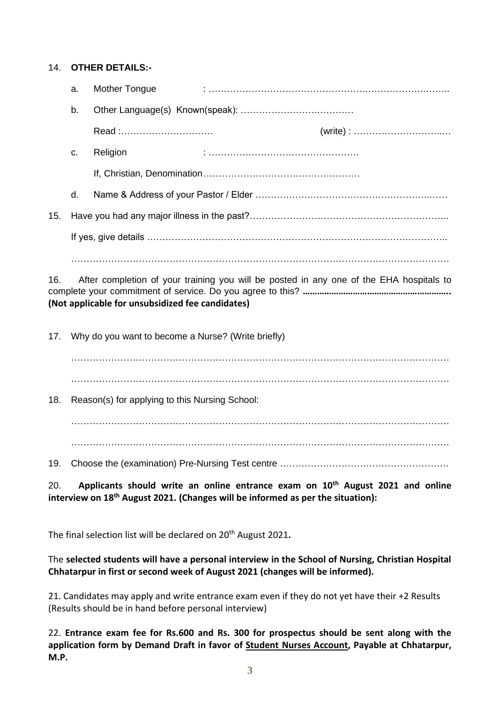#### 14. **OTHER DETAILS:-**

|     | a. | Mother Tongue |                                                                         |
|-----|----|---------------|-------------------------------------------------------------------------|
|     | b. |               |                                                                         |
|     |    | Read :        | $(write) : \dots \dots \dots \dots \dots \dots \dots \dots \dots \dots$ |
|     | C. | Religion      |                                                                         |
|     |    |               |                                                                         |
|     | d. |               |                                                                         |
| 15. |    |               |                                                                         |
|     |    |               |                                                                         |
|     |    |               |                                                                         |

16. After completion of your training you will be posted in any one of the EHA hospitals to complete your commitment of service. Do you agree to this? **…………………………………………………….. (Not applicable for unsubsidized fee candidates)**

17. Why do you want to become a Nurse? (Write briefly)

…………………………………………………………………………………………………………… ……………………………………………………………………………………………………………

18. Reason(s) for applying to this Nursing School:

…………………………………………………………………………………………………………… ……………………………………………………………………………………………………………

19. Choose the (examination) Pre-Nursing Test centre ……………………………………………….

20. **Applicants should write an online entrance exam on 10th August 2021 and online interview on 18th August 2021. (Changes will be informed as per the situation):**

The final selection list will be declared on 20th August 2021**.** 

The **selected students will have a personal interview in the School of Nursing, Christian Hospital Chhatarpur in first or second week of August 2021 (changes will be informed).** 

21. Candidates may apply and write entrance exam even if they do not yet have their +2 Results (Results should be in hand before personal interview)

22. **Entrance exam fee for Rs.600 and Rs. 300 for prospectus should be sent along with the application form by Demand Draft in favor of Student Nurses Account, Payable at Chhatarpur, M.P.**